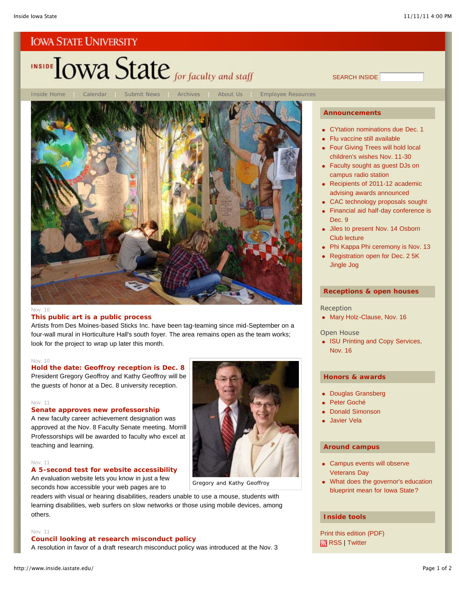# INSIDE TOWA State for faculty and staff

Inside Home | Calendar | Submit News | Archives | About Us | Employee Resources

#### Nov. 10

#### **This public art is a public process**

Artists from Des Moines-based Sticks Inc. have been tag-teaming since mid-September on a four-wall mural in Horticulture Hall's south foyer. The area remains open as the team works; look for the project to wrap up later this month.

#### Nov. 10

## **Hold the date: Geoffroy reception is Dec. 8** President Gregory Geoffroy and Kathy Geoffroy will be the guests of honor at a Dec. 8 university reception.

#### Nov. 11

#### **Senate approves new professorship**

A new faculty career achievement designation was approved at the Nov. 8 Faculty Senate meeting. Morrill Professorships will be awarded to faculty who excel at teaching and learning.

#### Nov. 11

## **A 5-second test for website accessibility**

An evaluation website lets you know in just a few seconds how accessible your web pages are to

readers with visual or hearing disabilities, readers unable to use a mouse, students with learning disabilities, web surfers on slow networks or those using mobile devices, among others.

#### Nov. 11

## **Council looking at research misconduct policy**

A resolution in favor of a draft research misconduct policy was introduced at the Nov. 3



## Gregory and Kathy Geoffroy

## **Announcements**

SEARCH INSIDE

- CYtation nominations due Dec. 1
- Flu vaccine still available
- **Four Giving Trees will hold local** children's wishes Nov. 11-30
- Faculty sought as guest DJs on campus radio station
- Recipients of 2011-12 academic advising awards announced
- CAC technology proposals sought
- Financial aid half-day conference is Dec. 9
- Jiles to present Nov. 14 Osborn Club lecture
- Phi Kappa Phi ceremony is Nov. 13
- Registration open for Dec. 2 5K Jingle Jog

#### **Receptions & open houses**

#### Reception

• Mary Holz-Clause, Nov. 16

#### Open House

• ISU Printing and Copy Services, Nov. 16

## **Honors & awards**

- Douglas Gransberg
- Peter Goché
- Donald Simonson
- Javier Vela

### **Around campus**

- Campus events will observe Veterans Day
- What does the governor's education blueprint mean for Iowa State?

## **Inside tools**

Print this edition (PDF) RSS | Twitter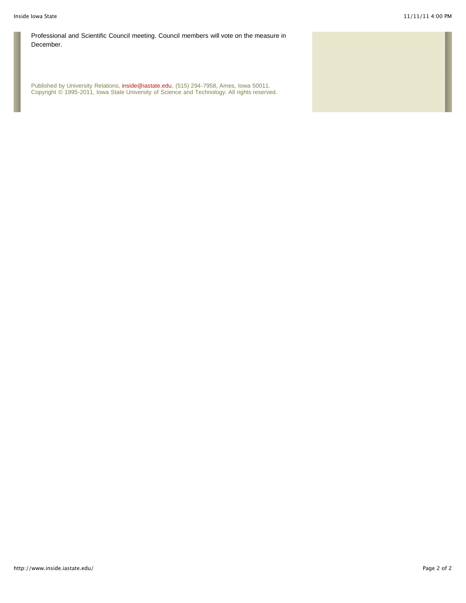Professional and Scientific Council meeting. Council members will vote on the measure in December.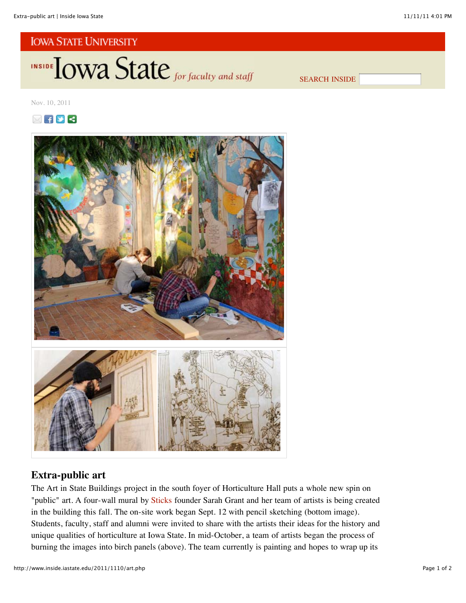INSIDE **LOWA State** for faculty and staff

SEARCH INSIDE

Nov. 10, 2011





## **Extra-public art**

The Art in State Buildings project in the south foyer of Horticulture Hall puts a whole new spin on "public" art. A four-wall mural by Sticks founder Sarah Grant and her team of artists is being created in the building this fall. The on-site work began Sept. 12 with pencil sketching (bottom image). Students, faculty, staff and alumni were invited to share with the artists their ideas for the history and unique qualities of horticulture at Iowa State. In mid-October, a team of artists began the process of burning the images into birch panels (above). The team currently is painting and hopes to wrap up its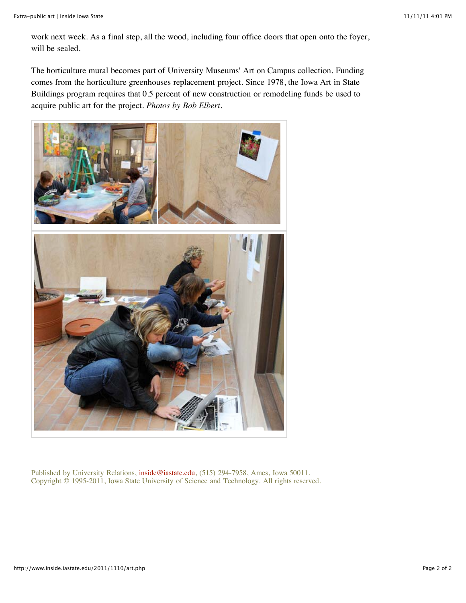work next week. As a final step, all the wood, including four office doors that open onto the foyer, will be sealed.

The horticulture mural becomes part of University Museums' Art on Campus collection. Funding comes from the horticulture greenhouses replacement project. Since 1978, the Iowa Art in State Buildings program requires that 0.5 percent of new construction or remodeling funds be used to acquire public art for the project. *Photos by Bob Elbert*.

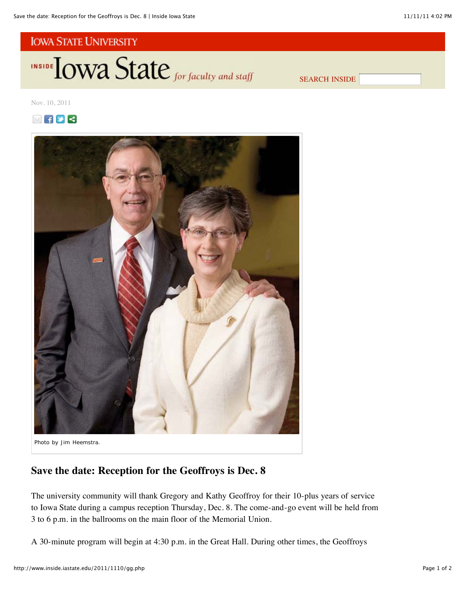INSIDE **IOWA State** for faculty and staff

SEARCH INSIDE

Nov. 10, 2011





*Photo by Jim Heemstra.*

# **Save the date: Reception for the Geoffroys is Dec. 8**

The university community will thank Gregory and Kathy Geoffroy for their 10-plus years of service to Iowa State during a campus reception Thursday, Dec. 8. The come-and-go event will be held from 3 to 6 p.m. in the ballrooms on the main floor of the Memorial Union.

A 30-minute program will begin at 4:30 p.m. in the Great Hall. During other times, the Geoffroys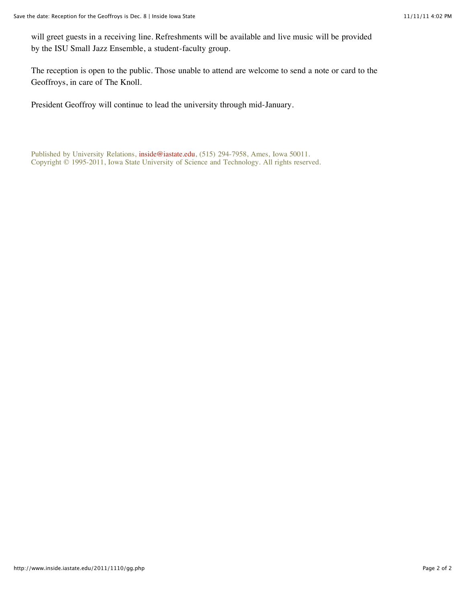will greet guests in a receiving line. Refreshments will be available and live music will be provided by the ISU Small Jazz Ensemble, a student-faculty group.

The reception is open to the public. Those unable to attend are welcome to send a note or card to the Geoffroys, in care of The Knoll.

President Geoffroy will continue to lead the university through mid-January.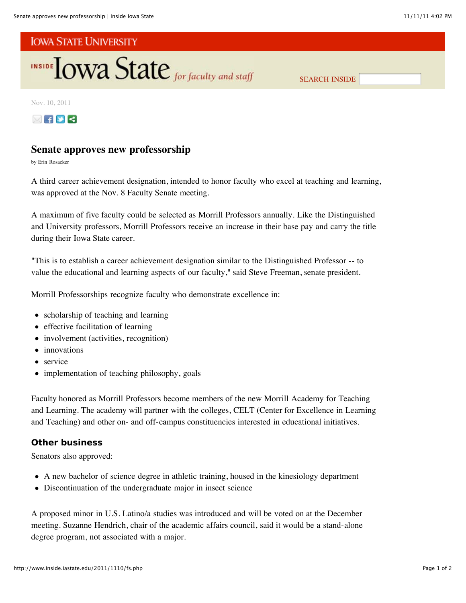

SEARCH INSIDE

Nov. 10, 2011



# **Senate approves new professorship**

by Erin Rosacker

A third career achievement designation, intended to honor faculty who excel at teaching and learning, was approved at the Nov. 8 Faculty Senate meeting.

A maximum of five faculty could be selected as Morrill Professors annually. Like the Distinguished and University professors, Morrill Professors receive an increase in their base pay and carry the title during their Iowa State career.

"This is to establish a career achievement designation similar to the Distinguished Professor -- to value the educational and learning aspects of our faculty," said Steve Freeman, senate president.

Morrill Professorships recognize faculty who demonstrate excellence in:

- scholarship of teaching and learning
- effective facilitation of learning
- involvement (activities, recognition)
- innovations
- service
- implementation of teaching philosophy, goals

Faculty honored as Morrill Professors become members of the new Morrill Academy for Teaching and Learning. The academy will partner with the colleges, CELT (Center for Excellence in Learning and Teaching) and other on- and off-campus constituencies interested in educational initiatives.

## **Other business**

Senators also approved:

- A new bachelor of science degree in athletic training, housed in the kinesiology department
- Discontinuation of the undergraduate major in insect science

A proposed minor in U.S. Latino/a studies was introduced and will be voted on at the December meeting. Suzanne Hendrich, chair of the academic affairs council, said it would be a stand-alone degree program, not associated with a major.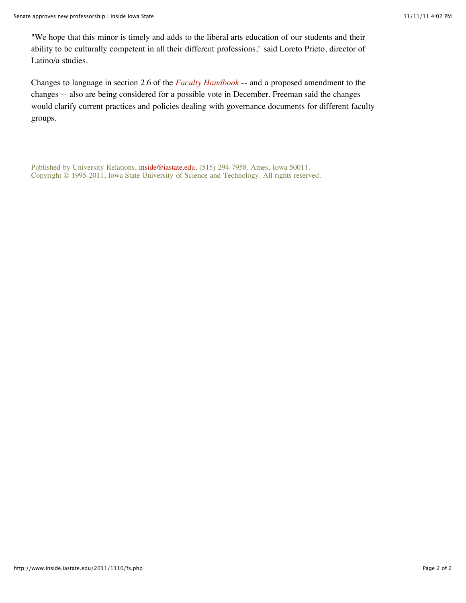"We hope that this minor is timely and adds to the liberal arts education of our students and their ability to be culturally competent in all their different professions," said Loreto Prieto, director of Latino/a studies.

Changes to language in section 2.6 of the *Faculty Handbook* -- and a proposed amendment to the changes -- also are being considered for a possible vote in December. Freeman said the changes would clarify current practices and policies dealing with governance documents for different faculty groups.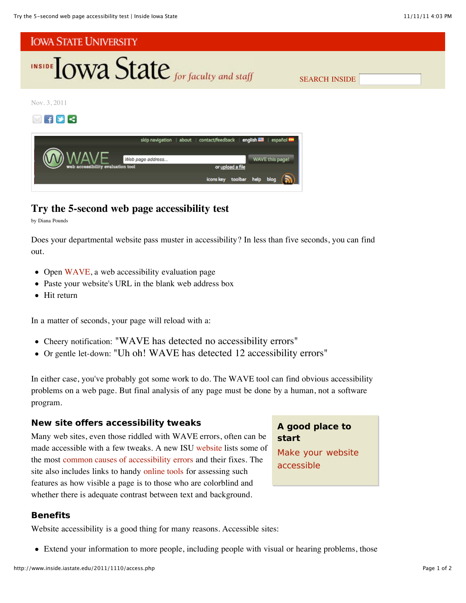

# **Try the 5-second web page accessibility test**

by Diana Pounds

Does your departmental website pass muster in accessibility? In less than five seconds, you can find out.

- Open WAVE, a web accessibility evaluation page
- $\bullet$ Paste your website's URL in the blank web address box
- Hit return

In a matter of seconds, your page will reload with a:

- Cheery notification: "WAVE has detected no accessibility errors"
- Or gentle let-down: "Uh oh! WAVE has detected 12 accessibility errors"

In either case, you've probably got some work to do. The WAVE tool can find obvious accessibility problems on a web page. But final analysis of any page must be done by a human, not a software program.

## **New site offers accessibility tweaks**

Many web sites, even those riddled with WAVE errors, often can be made accessible with a few tweaks. A new ISU website lists some of the most common causes of accessibility errors and their fixes. The site also includes links to handy online tools for assessing such features as how visible a page is to those who are colorblind and whether there is adequate contrast between text and background.

## **A good place to start**

Make your website accessible

## **Benefits**

Website accessibility is a good thing for many reasons. Accessible sites:

Extend your information to more people, including people with visual or hearing problems, those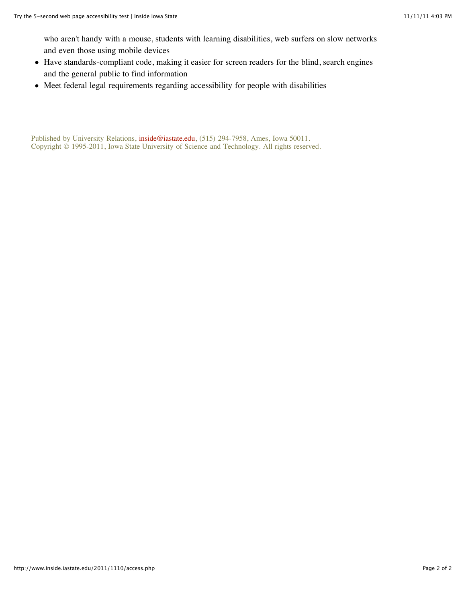who aren't handy with a mouse, students with learning disabilities, web surfers on slow networks and even those using mobile devices

- Have standards-compliant code, making it easier for screen readers for the blind, search engines and the general public to find information
- Meet federal legal requirements regarding accessibility for people with disabilities